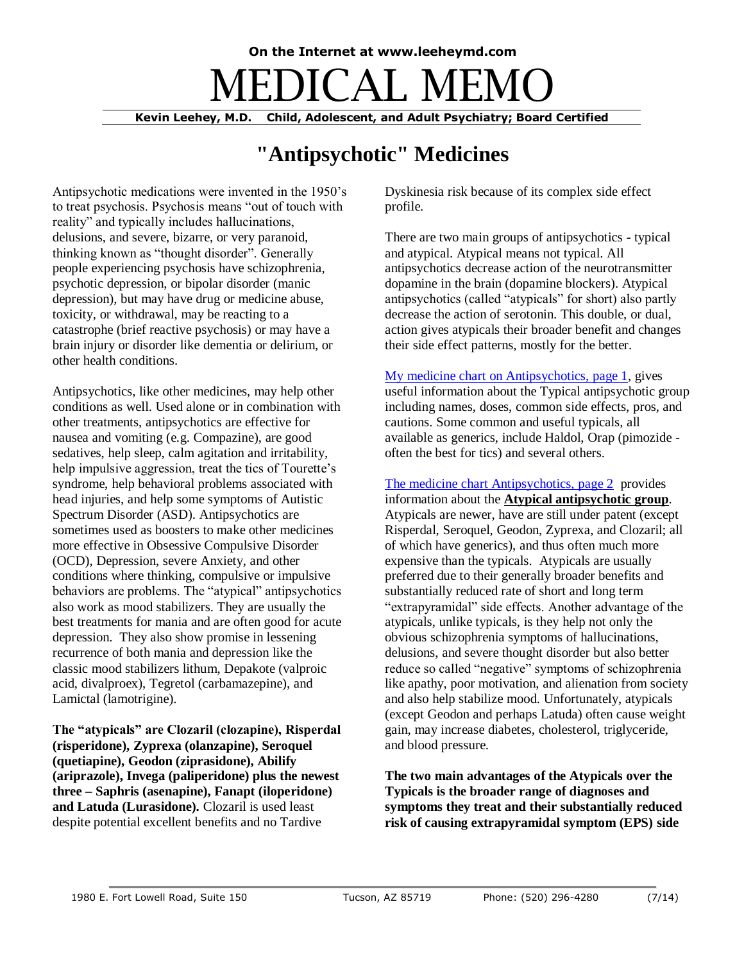## **On the Internet at www.leeheymd.com**  $\exists$ DICAL M

**Kevin Leehey, M.D. Child, Adolescent, and Adult Psychiatry; Board Certified**

## **"Antipsychotic" Medicines**

Antipsychotic medications were invented in the 1950's to treat psychosis. Psychosis means "out of touch with reality" and typically includes hallucinations, delusions, and severe, bizarre, or very paranoid, thinking known as "thought disorder". Generally people experiencing psychosis have schizophrenia, psychotic depression, or bipolar disorder (manic depression), but may have drug or medicine abuse, toxicity, or withdrawal, may be reacting to a catastrophe (brief reactive psychosis) or may have a brain injury or disorder like dementia or delirium, or other health conditions.

Antipsychotics, like other medicines, may help other conditions as well. Used alone or in combination with other treatments, antipsychotics are effective for nausea and vomiting (e.g. Compazine), are good sedatives, help sleep, calm agitation and irritability, help impulsive aggression, treat the tics of Tourette's syndrome, help behavioral problems associated with head injuries, and help some symptoms of Autistic Spectrum Disorder (ASD). Antipsychotics are sometimes used as boosters to make other medicines more effective in Obsessive Compulsive Disorder (OCD), Depression, severe Anxiety, and other conditions where thinking, compulsive or impulsive behaviors are problems. The "atypical" antipsychotics also work as mood stabilizers. They are usually the best treatments for mania and are often good for acute depression. They also show promise in lessening recurrence of both mania and depression like the classic mood stabilizers lithum, Depakote (valproic acid, divalproex), Tegretol (carbamazepine), and Lamictal (lamotrigine).

**The "atypicals" are Clozaril (clozapine), Risperdal (risperidone), Zyprexa (olanzapine), Seroquel (quetiapine), Geodon (ziprasidone), Abilify (ariprazole), Invega (paliperidone) plus the newest three – Saphris (asenapine), Fanapt (iloperidone) and Latuda (Lurasidone).** Clozaril is used least despite potential excellent benefits and no Tardive

Dyskinesia risk because of its complex side effect profile.

There are two main groups of antipsychotics - typical and atypical. Atypical means not typical. All antipsychotics decrease action of the neurotransmitter dopamine in the brain (dopamine blockers). Atypical antipsychotics (called "atypicals" for short) also partly decrease the action of serotonin. This double, or dual, action gives atypicals their broader benefit and changes their side effect patterns, mostly for the better.

[My medicine chart on Antipsychotics, page 1,](http://www.leeheymd.com/charts/typs1.html) gives useful information about the Typical antipsychotic group including names, doses, common side effects, pros, and cautions. Some common and useful typicals, all available as generics, include Haldol, Orap (pimozide often the best for tics) and several others.

[The medicine chart Antipsychotics, page 2](http://www.leeheymd.com/charts/atyps1.html) provides information about the **Atypical antipsychotic group**. Atypicals are newer, have are still under patent (except Risperdal, Seroquel, Geodon, Zyprexa, and Clozaril; all of which have generics), and thus often much more expensive than the typicals. Atypicals are usually preferred due to their generally broader benefits and substantially reduced rate of short and long term "extrapyramidal" side effects. Another advantage of the atypicals, unlike typicals, is they help not only the obvious schizophrenia symptoms of hallucinations, delusions, and severe thought disorder but also better reduce so called "negative" symptoms of schizophrenia like apathy, poor motivation, and alienation from society and also help stabilize mood. Unfortunately, atypicals (except Geodon and perhaps Latuda) often cause weight gain, may increase diabetes, cholesterol, triglyceride, and blood pressure.

**The two main advantages of the Atypicals over the Typicals is the broader range of diagnoses and symptoms they treat and their substantially reduced risk of causing extrapyramidal symptom (EPS) side**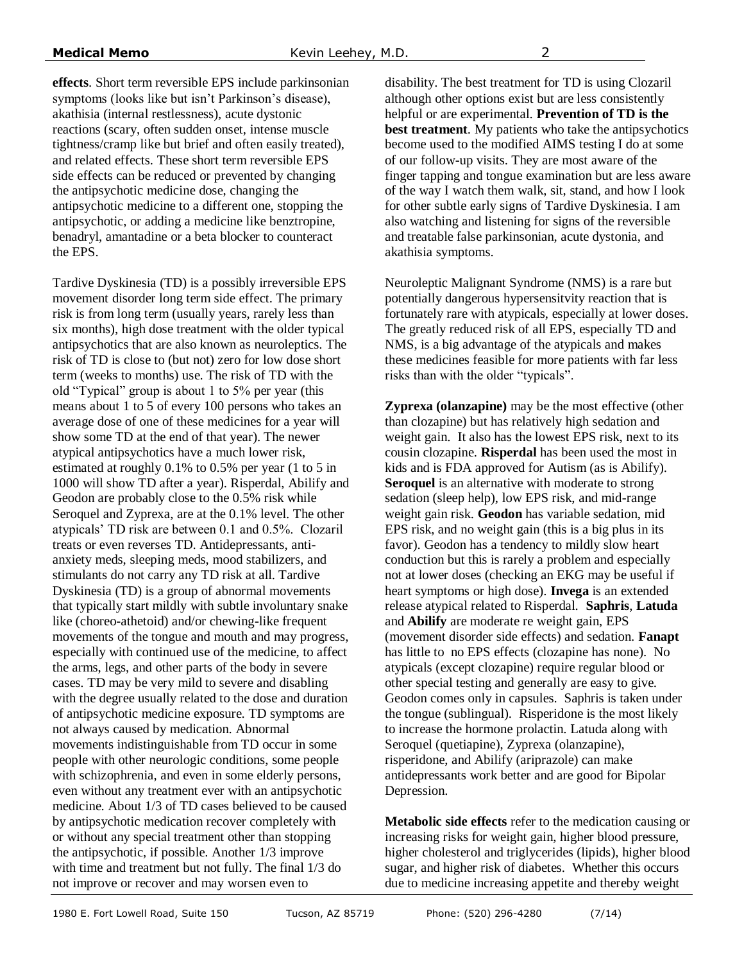**effects**. Short term reversible EPS include parkinsonian symptoms (looks like but isn't Parkinson's disease), akathisia (internal restlessness), acute dystonic reactions (scary, often sudden onset, intense muscle tightness/cramp like but brief and often easily treated), and related effects. These short term reversible EPS side effects can be reduced or prevented by changing the antipsychotic medicine dose, changing the antipsychotic medicine to a different one, stopping the antipsychotic, or adding a medicine like benztropine, benadryl, amantadine or a beta blocker to counteract the EPS.

Tardive Dyskinesia (TD) is a possibly irreversible EPS movement disorder long term side effect. The primary risk is from long term (usually years, rarely less than six months), high dose treatment with the older typical antipsychotics that are also known as neuroleptics. The risk of TD is close to (but not) zero for low dose short term (weeks to months) use. The risk of TD with the old "Typical" group is about 1 to 5% per year (this means about 1 to 5 of every 100 persons who takes an average dose of one of these medicines for a year will show some TD at the end of that year). The newer atypical antipsychotics have a much lower risk, estimated at roughly 0.1% to 0.5% per year (1 to 5 in 1000 will show TD after a year). Risperdal, Abilify and Geodon are probably close to the 0.5% risk while Seroquel and Zyprexa, are at the 0.1% level. The other atypicals' TD risk are between 0.1 and 0.5%. Clozaril treats or even reverses TD. Antidepressants, antianxiety meds, sleeping meds, mood stabilizers, and stimulants do not carry any TD risk at all. Tardive Dyskinesia (TD) is a group of abnormal movements that typically start mildly with subtle involuntary snake like (choreo-athetoid) and/or chewing-like frequent movements of the tongue and mouth and may progress, especially with continued use of the medicine, to affect the arms, legs, and other parts of the body in severe cases. TD may be very mild to severe and disabling with the degree usually related to the dose and duration of antipsychotic medicine exposure. TD symptoms are not always caused by medication. Abnormal movements indistinguishable from TD occur in some people with other neurologic conditions, some people with schizophrenia, and even in some elderly persons, even without any treatment ever with an antipsychotic medicine. About 1/3 of TD cases believed to be caused by antipsychotic medication recover completely with or without any special treatment other than stopping the antipsychotic, if possible. Another 1/3 improve with time and treatment but not fully. The final 1/3 do not improve or recover and may worsen even to

disability. The best treatment for TD is using Clozaril although other options exist but are less consistently helpful or are experimental. **Prevention of TD is the best treatment**. My patients who take the antipsychotics become used to the modified AIMS testing I do at some of our follow-up visits. They are most aware of the finger tapping and tongue examination but are less aware of the way I watch them walk, sit, stand, and how I look for other subtle early signs of Tardive Dyskinesia. I am also watching and listening for signs of the reversible and treatable false parkinsonian, acute dystonia, and akathisia symptoms.

Neuroleptic Malignant Syndrome (NMS) is a rare but potentially dangerous hypersensitvity reaction that is fortunately rare with atypicals, especially at lower doses. The greatly reduced risk of all EPS, especially TD and NMS, is a big advantage of the atypicals and makes these medicines feasible for more patients with far less risks than with the older "typicals".

**Zyprexa (olanzapine)** may be the most effective (other than clozapine) but has relatively high sedation and weight gain. It also has the lowest EPS risk, next to its cousin clozapine. **Risperdal** has been used the most in kids and is FDA approved for Autism (as is Abilify). **Seroquel** is an alternative with moderate to strong sedation (sleep help), low EPS risk, and mid-range weight gain risk. **Geodon** has variable sedation, mid EPS risk, and no weight gain (this is a big plus in its favor). Geodon has a tendency to mildly slow heart conduction but this is rarely a problem and especially not at lower doses (checking an EKG may be useful if heart symptoms or high dose). **Invega** is an extended release atypical related to Risperdal. **Saphris**, **Latuda** and **Abilify** are moderate re weight gain, EPS (movement disorder side effects) and sedation. **Fanapt** has little to no EPS effects (clozapine has none). No atypicals (except clozapine) require regular blood or other special testing and generally are easy to give. Geodon comes only in capsules. Saphris is taken under the tongue (sublingual). Risperidone is the most likely to increase the hormone prolactin. Latuda along with Seroquel (quetiapine), Zyprexa (olanzapine), risperidone, and Abilify (ariprazole) can make antidepressants work better and are good for Bipolar Depression.

**Metabolic side effects** refer to the medication causing or increasing risks for weight gain, higher blood pressure, higher cholesterol and triglycerides (lipids), higher blood sugar, and higher risk of diabetes. Whether this occurs due to medicine increasing appetite and thereby weight